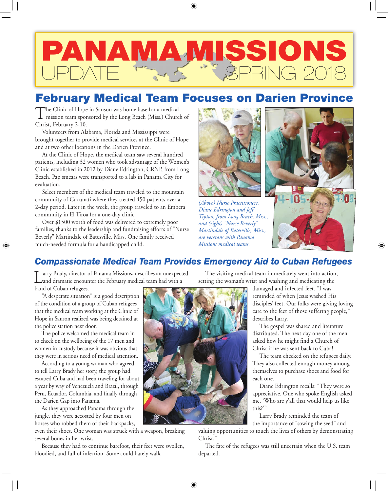# A MAMISSIO UPDATE TRAS "" SPRING 2018

# February Medical Team Focuses on Darien Province

The Clinic of Hope in Sanson was home base for a medical mission team sponsored by the Long Beach (Miss.) Church of Christ, February 2-10.

Volunteers from Alabama, Florida and Mississippi were brought together to provide medical services at the Clinic of Hope and at two other locations in the Darien Province.

At the Clinic of Hope, the medical team saw several hundred patients, including 32 women who took advantage of the Women's Clinic established in 2012 by Diane Edrington, CRNP, from Long Beach. Pap smears were transported to a lab in Panama City for evaluation.

Select members of the medical team traveled to the mountain community of Cucunati where they treated 450 patients over a 2-day period. Later in the week, the group traveled to an Embera community in El Tiroa for a one-day clinic.

Over \$1500 worth of food was delivered to extremely poor families, thanks to the leadership and fundraising efforts of "Nurse Beverly" Martindale of Batesville, Miss. One family received much-needed formula for a handicapped child.



*(Above) Nurse Practitioners, Diane Edrington and Jeff Tipton, from Long Beach, Miss., and (right) "Nurse Beverly" Martindale of Batesville, Miss., are veterans with Panama Missions medical teams.*



♠

## *Compassionate Medical Team Provides Emergency Aid to Cuban Refugees*

⊕

arry Brady, director of Panama Missions, describes an unexpected and dramatic encounter the February medical team had with a band of Cuban refugees.

"A desperate situation" is a good description of the condition of a group of Cuban refugees that the medical team working at the Clinic of Hope in Sanson realized was being detained at the police station next door.

⊕

The police welcomed the medical team in to check on the wellbeing of the 17 men and women in custody because it was obvious that they were in serious need of medical attention.

According to a young woman who agreed to tell Larry Brady her story, the group had escaped Cuba and had been traveling for about a year by way of Venezuela and Brazil, through Peru, Ecuador, Columbia, and finally through the Darien Gap into Panama.

As they approached Panama through the jungle, they were accosted by four men on horses who robbed them of their backpacks,

even their shoes. One woman was struck with a weapon, breaking several bones in her wrist.

Because they had to continue barefoot, their feet were swollen, bloodied, and full of infection. Some could barely walk.

The visiting medical team immediately went into action, setting the woman's wrist and washing and medicating the

damaged and infected feet. "I was reminded of when Jesus washed His disciples' feet. Our folks were giving loving care to the feet of those suffering people," describes Larry.

The gospel was shared and literature distributed. The next day one of the men asked how he might find a Church of Christ if he was sent back to Cuba!

The team checked on the refugees daily. They also collected enough money among themselves to purchase shoes and food for each one.

Diane Edrington recalls: "They were so appreciative. One who spoke English asked me, 'Who are y'all that would help us like this?'"

Larry Brady reminded the team of the importance of "sowing the seed" and

valuing opportunities to touch the lives of others by demonstrating Christ.'

The fate of the refugees was still uncertain when the U.S. team departed.

⊕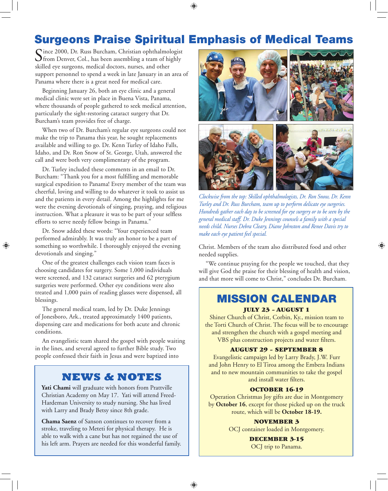Surgeons Praise Spiritual Emphasis of Medical Teams

⊕

Since 2000, Dr. Russ Burcham, Christian ophthalmologist<br>
from Denver, Col., has been assembling a team of highly skilled eye surgeons, medical doctors, nurses, and other support personnel to spend a week in late January in an area of Panama where there is a great need for medical care.

Beginning January 26, both an eye clinic and a general medical clinic were set in place in Buena Vista, Panama, where thousands of people gathered to seek medical attention, particularly the sight-restoring cataract surgery that Dr. Burcham's team provides free of charge.

When two of Dr. Burcham's regular eye surgeons could not make the trip to Panama this year, he sought replacements available and willing to go. Dr. Kenn Turley of Idaho Falls, Idaho, and Dr. Ron Snow of St. George, Utah, answered the call and were both very complimentary of the program.

Dr. Turley included these comments in an email to Dr. Burcham: "Thank you for a most fulfilling and memorable surgical expedition to Panama! Every member of the team was cheerful, loving and willing to do whatever it took to assist us and the patients in every detail. Among the highlights for me were the evening devotionals of singing, praying, and religious instruction. What a pleasure it was to be part of your selfless efforts to serve needy fellow beings in Panama."

Dr. Snow added these words: "Your experienced team performed admirably. It was truly an honor to be a part of something so worthwhile. I thoroughly enjoyed the evening devotionals and singing."

One of the greatest challenges each vision team faces is choosing candidates for surgery. Some 1,000 individuals were screened, and 132 cataract surgeries and 62 pterygium surgeries were performed. Other eye conditions were also treated and 1,000 pairs of reading glasses were dispensed, all blessings.

The general medical team, led by Dr. Duke Jennings of Jonesboro, Ark., treated approximately 1400 patients, dispensing care and medications for both acute and chronic conditions.

An evangelistic team shared the gospel with people waiting in the lines, and several agreed to further Bible study. Two people confessed their faith in Jesus and were baptized into

### **NEWS & NOTES**

Yati Chami will graduate with honors from Prattville Christian Academy on May 17. Yati will attend Freed-Hardeman University to study nursing. She has lived with Larry and Brady Betsy since 8th grade.

**Chama Saenz** of Sanson continues to recover from a stroke, traveling to Meteti for physical therapy. He is able to walk with a cane but has not regained the use of his left arm. Prayers are needed for this wonderful family.



*Clockwise from the top: Skilled ophthalmologists, Dr. Ron Snow, Dr. Kenn Turley and Dr. Russ Burcham, team up to perform delicate eye surgeries. Hundreds gather each day to be screened for eye surgery or to be seen by the general medical staff. Dr. Duke Jennings counsels a family with a special needs child. Nurses Debra Cleary, Diane Johnston and Renee Davis try to make each eye patient feel special.* 

Christ. Members of the team also distributed food and other needed supplies.

⊕

"We continue praying for the people we touched, that they will give God the praise for their blessing of health and vision, and that more will come to Christ," concludes Dr. Burcham.

## MISSION CALENDAR

#### JULY 23 – AUGUST 1

Shiner Church of Christ, Corbin, Ky., mission team to the Torti Church of Christ. The focus will be to encourage and strengthen the church with a gospel meeting and VBS plus construction projects and water filters.

#### AUGUST 29 – SEPTEMBER 8

Evangelistic campaign led by Larry Brady, J.W. Furr and John Henry to El Tiroa among the Embera Indians and to new mountain communities to take the gospel and install water filters.

#### OCTOBER 16-19

Operation Christmas Joy gifts are due in Montgomery by **October 16**, except for those picked up on the truck route, which will be **October 18-19.**

#### NOVEMBER 3

OCJ container loaded in Montgomery.

#### DECEMBER 3-15

OCJ trip to Panama.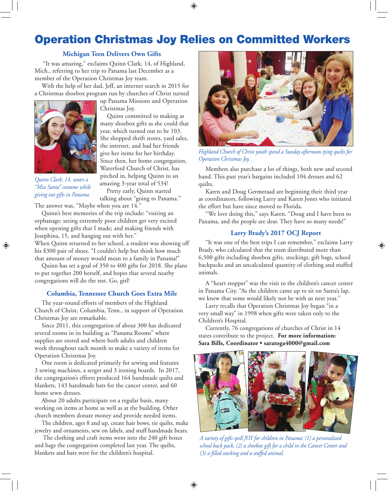# Operation Christmas Joy Relies on Committed Workers

 $\bigoplus$ 

#### **Michigan Teen Delivers Own Gifts**

"It was amazing," exclaims Quinn Clark, 14, of Highland, Mich., referring to her trip to Panama last December as a member of the Operation Christmas Joy team.

With the help of her dad, Jeff, an internet search in 2015 for a Christmas shoebox program run by churches of Christ turned



up Panama Missions and Operation Christmas Joy.

Quinn committed to making as many shoebox gifts as she could that year, which turned out to be 103. She shopped thrift stores, yard sales, the internet, and had her friends give her items for her birthday. Since then, her home congregation, Waterford Church of Christ, has pitched in, helping Quinn to an amazing 3-year total of 534!

Pretty early, Quinn started talking about "going to Panama."

*Quinn Clark, 14, wears a "Miss Santa" costume while giving out gifts in Panama.*

⊕

The answer was, "Maybe when you are 14."

Quinn's best memories of the trip include: "visiting an orphanage; seeing extremely poor children get very excited when opening gifts that I made; and making friends with Josephina, 15, and hanging out with her."

When Quinn returned to her school, a student was showing off his \$300 pair of shoes. "I couldn't help but think how much that amount of money would mean to a family in Panama!"

Quinn has set a goal of 350 to 400 gifts for 2018. She plans to put together 200 herself, and hopes that several nearby congregations will do the rest. Go, girl!

#### **Columbia, Tennessee Church Goes Extra Mile**

The year-round efforts of members of the Highland Church of Christ, Columbia, Tenn., in support of Operation Christmas Joy are remarkable.

Since 2011, this congregation of about 300 has dedicated several rooms in its building as "Panama Rooms" where supplies are stored and where both adults and children work throughout each month to make a variety of items for Operation Christmas Joy.

One room is dedicated primarily for sewing and features 3 sewing machines, a serger and 3 ironing boards. In 2017, the congregation's efforts produced 164 handmade quilts and blankets, 143 handmade hats for the cancer center, and 60 home sewn dresses.

About 20 adults participate on a regular basis, many working on items at home as well as at the building. Other church members donate money and provide needed items.

The children, ages 8 and up, create hair bows, tie quilts, make jewelry and ornaments, sew on labels, and stuff handmade bears.

 The clothing and craft items went into the 240 gift boxes and bags the congregation completed last year. The quilts, blankets and hats were for the children's hospital.



*Highland Church of Christ youth spend a Sunday afternoon tying quilts for Operation Christmas Joy.*

Members also purchase a lot of things, both new and second hand. This past year's bargains included 104 dresses and 62 quilts.

Karen and Doug Germeraad are beginning their third year as coordinators, following Larry and Karen Jones who initiated the effort but have since moved to Florida.

"We love doing this," says Karen. "Doug and I have been to Panama, and the people are dear. They have so many needs!"

#### **Larry Brady's 2017 OCJ Report**

"It was one of the best trips I can remember," exclaims Larry Brady, who calculated that the team distributed more than 6,500 gifts including shoebox gifts, stockings, gift bags, school backpacks and an uncalculated quantity of clothing and stuffed animals.

⊕

A "heart stopper" was the visit to the children's cancer center in Panama City. "As the children came up to sit on Santa's lap, we knew that some would likely not be with us next year."

Larry recalls that Operation Christmas Joy began "in a very small way" in 1998 when gifts were taken only to the Children's Hospital.

Currently, 76 congregations of churches of Christ in 14 states contribute to the project. **For more information: Sara Bills, Coordinator • saratoga4000@gmail.com**



*A variety of gifts spell JOY for children in Panama: (1) a personalized school back pack, (2) a shoebox gift for a child in the Cancer Center and (3) a filled stocking and a stuffed animal.* 

⊕